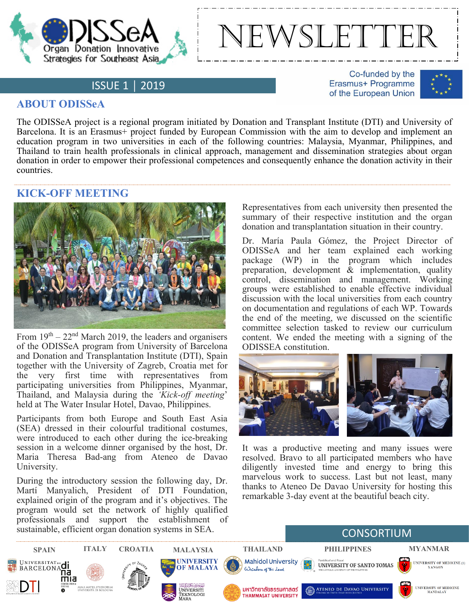



## ISSUE 1 │ 2019

Co-funded by the Erasmus+ Programme of the European Union



## **ABOUT ODISSeA**

The ODISSeA project is a regional program initiated by Donation and Transplant Institute (DTI) and University of Barcelona. It is an Erasmus+ project funded by European Commission with the aim to develop and implement an education program in two universities in each of the following countries: Malaysia, Myanmar, Philippines, and Thailand to train health professionals in clinical approach, management and dissemination strategies about organ donation in order to empower their professional competences and consequently enhance the donation activity in their countries.

## **KICK-OFF MEETING**



From  $19<sup>th</sup> - 22<sup>nd</sup>$  March 2019, the leaders and organisers of the ODISSeA program from University of Barcelona and Donation and Transplantation Institute (DTI), Spain together with the University of Zagreb, Croatia met for<br>the very first time with representatives from very first time with representatives from participating universities from Philippines, Myanmar, Thailand, and Malaysia during the *'Kick-off meeting*' held at The Water Insular Hotel, Davao, Philippines.

Participants from both Europe and South East Asia (SEA) dressed in their colourful traditional costumes, were introduced to each other during the ice-breaking session in a welcome dinner organised by the host, Dr. Maria Theresa Bad-ang from Ateneo de Davao University.

During the introductory session the following day, Dr. Martí Manyalich, President of DTI Foundation, explained origin of the program and it's objectives. The program would set the network of highly qualified professionals and support the establishment of sustainable, efficient organ donation systems in SEA.

Representatives from each university then presented the summary of their respective institution and the organ donation and transplantation situation in their country.

Dr. María Paula Gómez, the Project Director of ODISSeA and her team explained each working package (WP) in the program which includes preparation, development  $\&$  implementation, quality control, dissemination and management. Working groups were established to enable effective individual discussion with the local universities from each country on documentation and regulations of each WP. Towards the end of the meeting, we discussed on the scientific committee selection tasked to review our curriculum content. We ended the meeting with a signing of the ODISSEA constitution.



It was a productive meeting and many issues were resolved. Bravo to all participated members who have diligently invested time and energy to bring this marvelous work to success. Last but not least, many thanks to Ateneo De Davao University for hosting this remarkable 3-day event at the beautiful beach city.